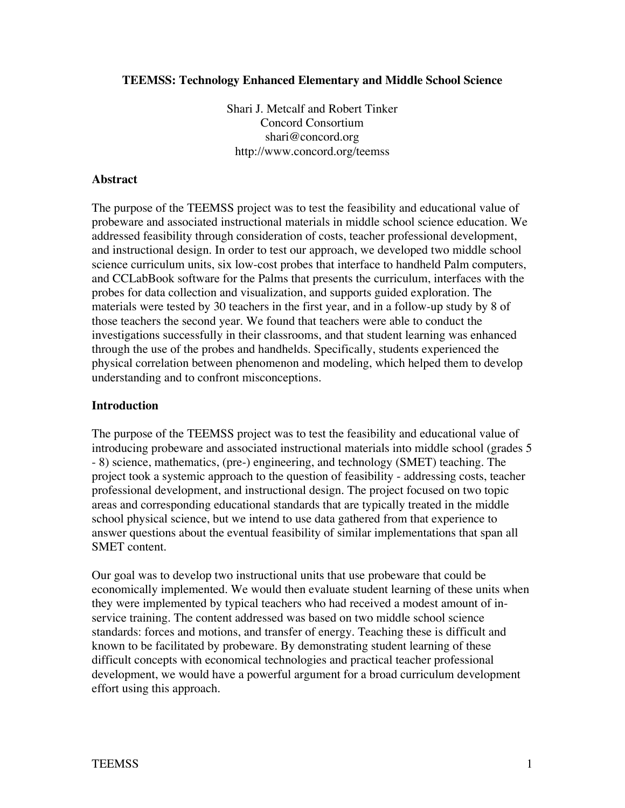## **TEEMSS: Technology Enhanced Elementary and Middle School Science**

Shari J. Metcalf and Robert Tinker Concord Consortium shari@concord.org http://www.concord.org/teemss

## **Abstract**

The purpose of the TEEMSS project was to test the feasibility and educational value of probeware and associated instructional materials in middle school science education. We addressed feasibility through consideration of costs, teacher professional development, and instructional design. In order to test our approach, we developed two middle school science curriculum units, six low-cost probes that interface to handheld Palm computers, and CCLabBook software for the Palms that presents the curriculum, interfaces with the probes for data collection and visualization, and supports guided exploration. The materials were tested by 30 teachers in the first year, and in a follow-up study by 8 of those teachers the second year. We found that teachers were able to conduct the investigations successfully in their classrooms, and that student learning was enhanced through the use of the probes and handhelds. Specifically, students experienced the physical correlation between phenomenon and modeling, which helped them to develop understanding and to confront misconceptions.

## **Introduction**

The purpose of the TEEMSS project was to test the feasibility and educational value of introducing probeware and associated instructional materials into middle school (grades 5 - 8) science, mathematics, (pre-) engineering, and technology (SMET) teaching. The project took a systemic approach to the question of feasibility - addressing costs, teacher professional development, and instructional design. The project focused on two topic areas and corresponding educational standards that are typically treated in the middle school physical science, but we intend to use data gathered from that experience to answer questions about the eventual feasibility of similar implementations that span all SMET content.

Our goal was to develop two instructional units that use probeware that could be economically implemented. We would then evaluate student learning of these units when they were implemented by typical teachers who had received a modest amount of inservice training. The content addressed was based on two middle school science standards: forces and motions, and transfer of energy. Teaching these is difficult and known to be facilitated by probeware. By demonstrating student learning of these difficult concepts with economical technologies and practical teacher professional development, we would have a powerful argument for a broad curriculum development effort using this approach.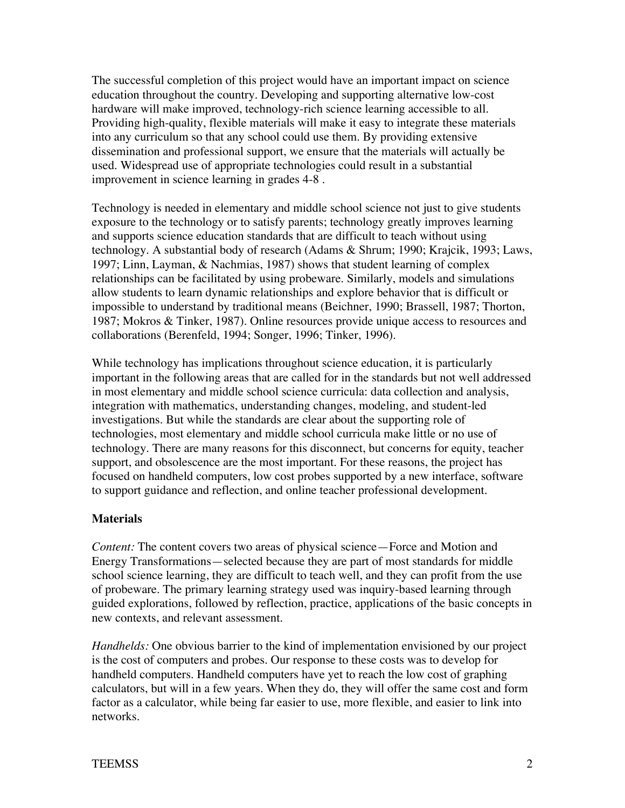The successful completion of this project would have an important impact on science education throughout the country. Developing and supporting alternative low-cost hardware will make improved, technology-rich science learning accessible to all. Providing high-quality, flexible materials will make it easy to integrate these materials into any curriculum so that any school could use them. By providing extensive dissemination and professional support, we ensure that the materials will actually be used. Widespread use of appropriate technologies could result in a substantial improvement in science learning in grades 4-8 .

Technology is needed in elementary and middle school science not just to give students exposure to the technology or to satisfy parents; technology greatly improves learning and supports science education standards that are difficult to teach without using technology. A substantial body of research (Adams & Shrum; 1990; Krajcik, 1993; Laws, 1997; Linn, Layman, & Nachmias, 1987) shows that student learning of complex relationships can be facilitated by using probeware. Similarly, models and simulations allow students to learn dynamic relationships and explore behavior that is difficult or impossible to understand by traditional means (Beichner, 1990; Brassell, 1987; Thorton, 1987; Mokros & Tinker, 1987). Online resources provide unique access to resources and collaborations (Berenfeld, 1994; Songer, 1996; Tinker, 1996).

While technology has implications throughout science education, it is particularly important in the following areas that are called for in the standards but not well addressed in most elementary and middle school science curricula: data collection and analysis, integration with mathematics, understanding changes, modeling, and student-led investigations. But while the standards are clear about the supporting role of technologies, most elementary and middle school curricula make little or no use of technology. There are many reasons for this disconnect, but concerns for equity, teacher support, and obsolescence are the most important. For these reasons, the project has focused on handheld computers, low cost probes supported by a new interface, software to support guidance and reflection, and online teacher professional development.

# **Materials**

*Content:* The content covers two areas of physical science—Force and Motion and Energy Transformations—selected because they are part of most standards for middle school science learning, they are difficult to teach well, and they can profit from the use of probeware. The primary learning strategy used was inquiry-based learning through guided explorations, followed by reflection, practice, applications of the basic concepts in new contexts, and relevant assessment.

*Handhelds:* One obvious barrier to the kind of implementation envisioned by our project is the cost of computers and probes. Our response to these costs was to develop for handheld computers. Handheld computers have yet to reach the low cost of graphing calculators, but will in a few years. When they do, they will offer the same cost and form factor as a calculator, while being far easier to use, more flexible, and easier to link into networks.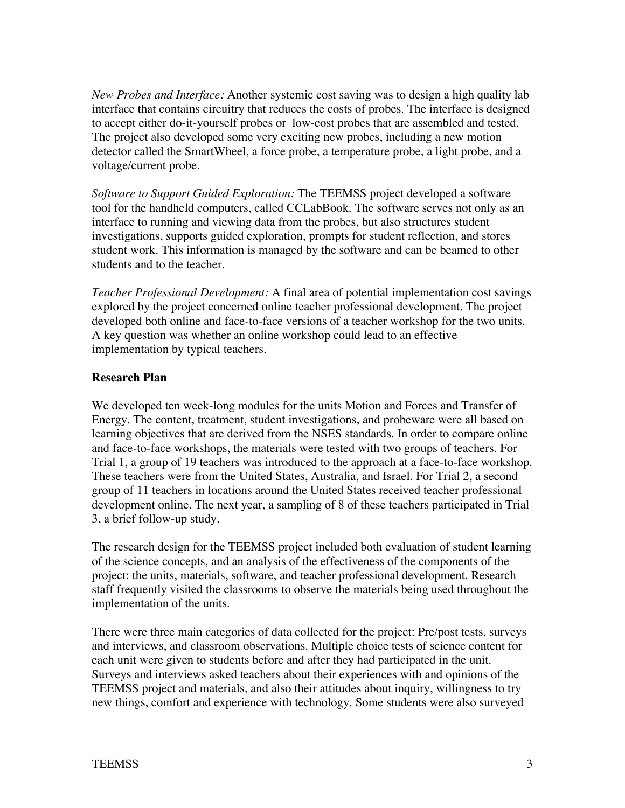*New Probes and Interface:* Another systemic cost saving was to design a high quality lab interface that contains circuitry that reduces the costs of probes. The interface is designed to accept either do-it-yourself probes or low-cost probes that are assembled and tested. The project also developed some very exciting new probes, including a new motion detector called the SmartWheel, a force probe, a temperature probe, a light probe, and a voltage/current probe.

*Software to Support Guided Exploration:* The TEEMSS project developed a software tool for the handheld computers, called CCLabBook. The software serves not only as an interface to running and viewing data from the probes, but also structures student investigations, supports guided exploration, prompts for student reflection, and stores student work. This information is managed by the software and can be beamed to other students and to the teacher.

*Teacher Professional Development:* A final area of potential implementation cost savings explored by the project concerned online teacher professional development. The project developed both online and face-to-face versions of a teacher workshop for the two units. A key question was whether an online workshop could lead to an effective implementation by typical teachers.

# **Research Plan**

We developed ten week-long modules for the units Motion and Forces and Transfer of Energy. The content, treatment, student investigations, and probeware were all based on learning objectives that are derived from the NSES standards. In order to compare online and face-to-face workshops, the materials were tested with two groups of teachers. For Trial 1, a group of 19 teachers was introduced to the approach at a face-to-face workshop. These teachers were from the United States, Australia, and Israel. For Trial 2, a second group of 11 teachers in locations around the United States received teacher professional development online. The next year, a sampling of 8 of these teachers participated in Trial 3, a brief follow-up study.

The research design for the TEEMSS project included both evaluation of student learning of the science concepts, and an analysis of the effectiveness of the components of the project: the units, materials, software, and teacher professional development. Research staff frequently visited the classrooms to observe the materials being used throughout the implementation of the units.

There were three main categories of data collected for the project: Pre/post tests, surveys and interviews, and classroom observations. Multiple choice tests of science content for each unit were given to students before and after they had participated in the unit. Surveys and interviews asked teachers about their experiences with and opinions of the TEEMSS project and materials, and also their attitudes about inquiry, willingness to try new things, comfort and experience with technology. Some students were also surveyed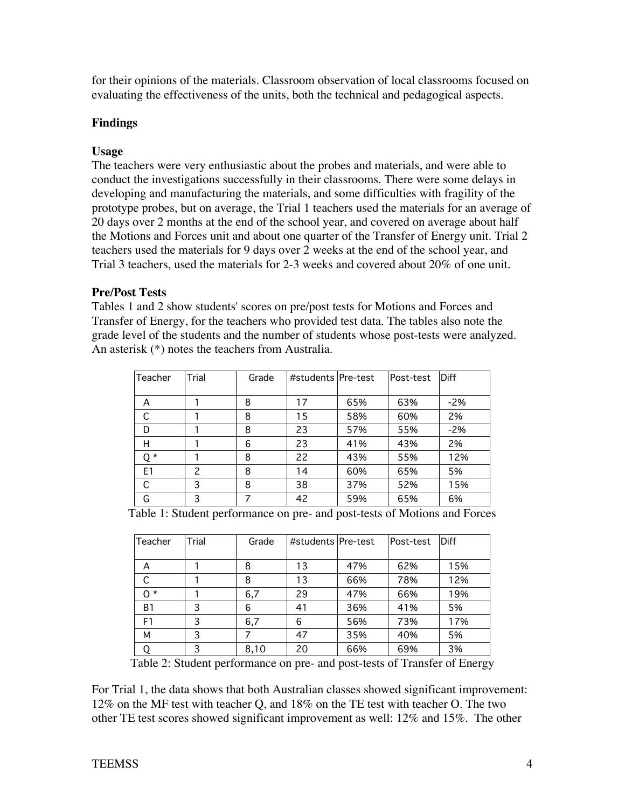for their opinions of the materials. Classroom observation of local classrooms focused on evaluating the effectiveness of the units, both the technical and pedagogical aspects.

# **Findings**

# **Usage**

The teachers were very enthusiastic about the probes and materials, and were able to conduct the investigations successfully in their classrooms. There were some delays in developing and manufacturing the materials, and some difficulties with fragility of the prototype probes, but on average, the Trial 1 teachers used the materials for an average of 20 days over 2 months at the end of the school year, and covered on average about half the Motions and Forces unit and about one quarter of the Transfer of Energy unit. Trial 2 teachers used the materials for 9 days over 2 weeks at the end of the school year, and Trial 3 teachers, used the materials for 2-3 weeks and covered about 20% of one unit.

# **Pre/Post Tests**

Tables 1 and 2 show students' scores on pre/post tests for Motions and Forces and Transfer of Energy, for the teachers who provided test data. The tables also note the grade level of the students and the number of students whose post-tests were analyzed. An asterisk (\*) notes the teachers from Australia.

| lTeacher | Trial | Grade | #students Pre-test |     | Post-test | <b>Diff</b> |
|----------|-------|-------|--------------------|-----|-----------|-------------|
|          |       |       |                    |     |           |             |
| А        |       | 8     | 17                 | 65% | 63%       | $-2%$       |
| C        |       | 8     | 15                 | 58% | 60%       | 2%          |
| D        |       | 8     | 23                 | 57% | 55%       | -2%         |
| н        |       | 6     | 23                 | 41% | 43%       | 2%          |
| $Q^*$    |       | 8     | 22                 | 43% | 55%       | 12%         |
| E1       | 2     | 8     | 14                 | 60% | 65%       | 5%          |
| C        | 3     | 8     | 38                 | 37% | 52%       | 15%         |
| G        | 3     |       | 42                 | 59% | 65%       | 6%          |

Table 1: Student performance on pre- and post-tests of Motions and Forces

| Teacher   | Trial | Grade | #students Pre-test |     | Post-test | <b>Diff</b> |
|-----------|-------|-------|--------------------|-----|-----------|-------------|
|           |       |       |                    |     |           |             |
| А         |       | 8     | 13                 | 47% | 62%       | 15%         |
| С         |       | 8     | 13                 | 66% | 78%       | 12%         |
| 0 *       |       | 6,7   | 29                 | 47% | 66%       | 19%         |
| <b>B1</b> | 3     | 6     | 41                 | 36% | 41%       | 5%          |
| F1        | 3     | 6,7   | 6                  | 56% | 73%       | 17%         |
| М         | 3     |       | 47                 | 35% | 40%       | 5%          |
|           | 3     | 8,10  | 20                 | 66% | 69%       | 3%          |

Table 2: Student performance on pre- and post-tests of Transfer of Energy

For Trial 1, the data shows that both Australian classes showed significant improvement: 12% on the MF test with teacher Q, and 18% on the TE test with teacher O. The two other TE test scores showed significant improvement as well: 12% and 15%. The other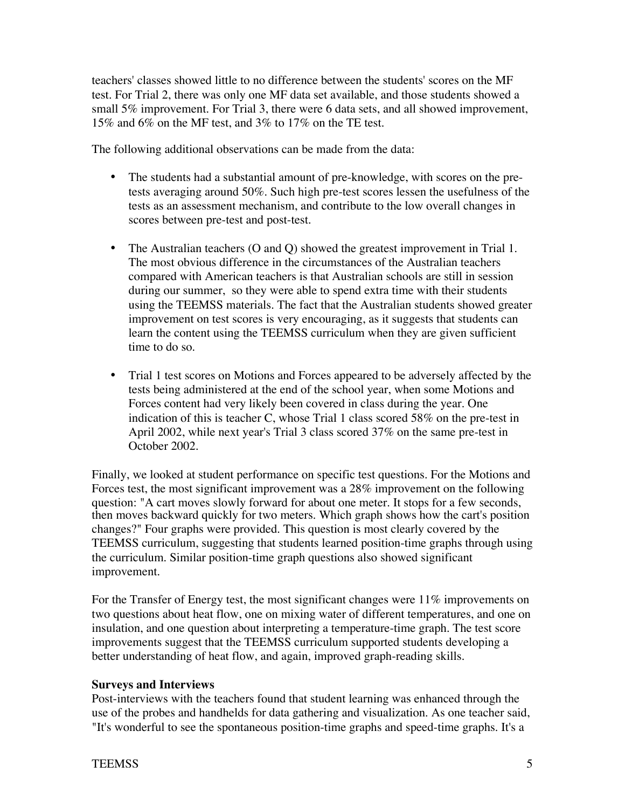teachers' classes showed little to no difference between the students' scores on the MF test. For Trial 2, there was only one MF data set available, and those students showed a small 5% improvement. For Trial 3, there were 6 data sets, and all showed improvement, 15% and 6% on the MF test, and 3% to 17% on the TE test.

The following additional observations can be made from the data:

The students had a substantial amount of pre-knowledge, with scores on the pretests averaging around 50%. Such high pre-test scores lessen the usefulness of the tests as an assessment mechanism, and contribute to the low overall changes in scores between pre-test and post-test.

The Australian teachers (O and Q) showed the greatest improvement in Trial 1. The most obvious difference in the circumstances of the Australian teachers compared with American teachers is that Australian schools are still in session during our summer, so they were able to spend extra time with their students using the TEEMSS materials. The fact that the Australian students showed greater improvement on test scores is very encouraging, as it suggests that students can learn the content using the TEEMSS curriculum when they are given sufficient time to do so.

Trial 1 test scores on Motions and Forces appeared to be adversely affected by the tests being administered at the end of the school year, when some Motions and Forces content had very likely been covered in class during the year. One indication of this is teacher C, whose Trial 1 class scored 58% on the pre-test in April 2002, while next year's Trial 3 class scored 37% on the same pre-test in October 2002.

Finally, we looked at student performance on specific test questions. For the Motions and Forces test, the most significant improvement was a 28% improvement on the following question: "A cart moves slowly forward for about one meter. It stops for a few seconds, then moves backward quickly for two meters. Which graph shows how the cart's position changes?" Four graphs were provided. This question is most clearly covered by the TEEMSS curriculum, suggesting that students learned position-time graphs through using the curriculum. Similar position-time graph questions also showed significant improvement.

For the Transfer of Energy test, the most significant changes were 11% improvements on two questions about heat flow, one on mixing water of different temperatures, and one on insulation, and one question about interpreting a temperature-time graph. The test score improvements suggest that the TEEMSS curriculum supported students developing a better understanding of heat flow, and again, improved graph-reading skills.

# **Surveys and Interviews**

Post-interviews with the teachers found that student learning was enhanced through the use of the probes and handhelds for data gathering and visualization. As one teacher said, "It's wonderful to see the spontaneous position-time graphs and speed-time graphs. It's a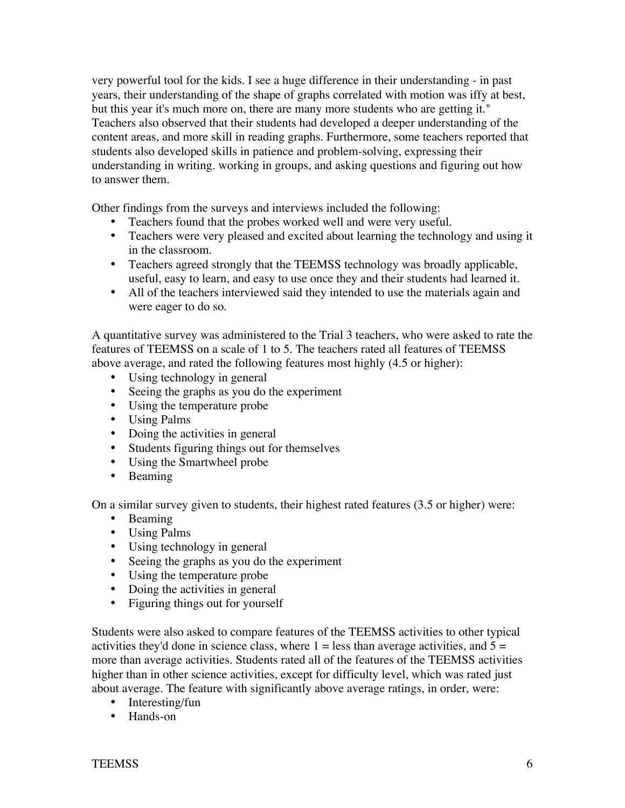very powerful tool for the kids. I see a huge difference in their understanding - in past years, their understanding of the shape of graphs correlated with motion was iffy at best, but this year it's much more on, there are many more students who are getting it." Teachers also observed that their students had developed a deeper understanding of the content areas, and more skill in reading graphs. Furthermore, some teachers reported that students also developed skills in patience and problem-solving, expressing their understanding in writing. working in groups, and asking questions and figuring out how to answer them.

Other findings from the surveys and interviews included the following:

Teachers found that the probes worked well and were very useful.

Teachers were very pleased and excited about learning the technology and using it in the classroom.

Teachers agreed strongly that the TEEMSS technology was broadly applicable, useful, easy to learn, and easy to use once they and their students had learned it. All of the teachers interviewed said they intended to use the materials again and were eager to do so.

A quantitative survey was administered to the Trial 3 teachers, who were asked to rate the features of TEEMSS on a scale of 1 to 5. The teachers rated all features of TEEMSS above average, and rated the following features most highly (4.5 or higher):

Using technology in general Seeing the graphs as you do the experiment Using the temperature probe Using Palms Doing the activities in general Students figuring things out for themselves Using the Smartwheel probe Beaming

On a similar survey given to students, their highest rated features (3.5 or higher) were:

Beaming Using Palms Using technology in general Seeing the graphs as you do the experiment Using the temperature probe Doing the activities in general Figuring things out for yourself

Students were also asked to compare features of the TEEMSS activities to other typical activities they'd done in science class, where  $1 =$  less than average activities, and  $5 =$ more than average activities. Students rated all of the features of the TEEMSS activities higher than in other science activities, except for difficulty level, which was rated just about average. The feature with significantly above average ratings, in order, were:

Interesting/fun Hands-on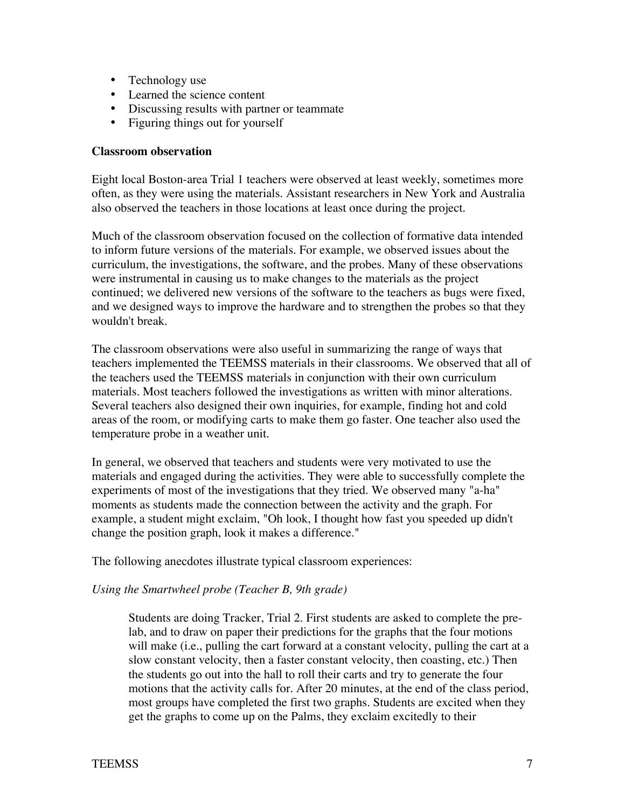Technology use Learned the science content Discussing results with partner or teammate Figuring things out for yourself

## **Classroom observation**

Eight local Boston-area Trial 1 teachers were observed at least weekly, sometimes more often, as they were using the materials. Assistant researchers in New York and Australia also observed the teachers in those locations at least once during the project.

Much of the classroom observation focused on the collection of formative data intended to inform future versions of the materials. For example, we observed issues about the curriculum, the investigations, the software, and the probes. Many of these observations were instrumental in causing us to make changes to the materials as the project continued; we delivered new versions of the software to the teachers as bugs were fixed, and we designed ways to improve the hardware and to strengthen the probes so that they wouldn't break.

The classroom observations were also useful in summarizing the range of ways that teachers implemented the TEEMSS materials in their classrooms. We observed that all of the teachers used the TEEMSS materials in conjunction with their own curriculum materials. Most teachers followed the investigations as written with minor alterations. Several teachers also designed their own inquiries, for example, finding hot and cold areas of the room, or modifying carts to make them go faster. One teacher also used the temperature probe in a weather unit.

In general, we observed that teachers and students were very motivated to use the materials and engaged during the activities. They were able to successfully complete the experiments of most of the investigations that they tried. We observed many "a-ha" moments as students made the connection between the activity and the graph. For example, a student might exclaim, "Oh look, I thought how fast you speeded up didn't change the position graph, look it makes a difference."

The following anecdotes illustrate typical classroom experiences:

# *Using the Smartwheel probe (Teacher B, 9th grade)*

Students are doing Tracker, Trial 2. First students are asked to complete the prelab, and to draw on paper their predictions for the graphs that the four motions will make (i.e., pulling the cart forward at a constant velocity, pulling the cart at a slow constant velocity, then a faster constant velocity, then coasting, etc.) Then the students go out into the hall to roll their carts and try to generate the four motions that the activity calls for. After 20 minutes, at the end of the class period, most groups have completed the first two graphs. Students are excited when they get the graphs to come up on the Palms, they exclaim excitedly to their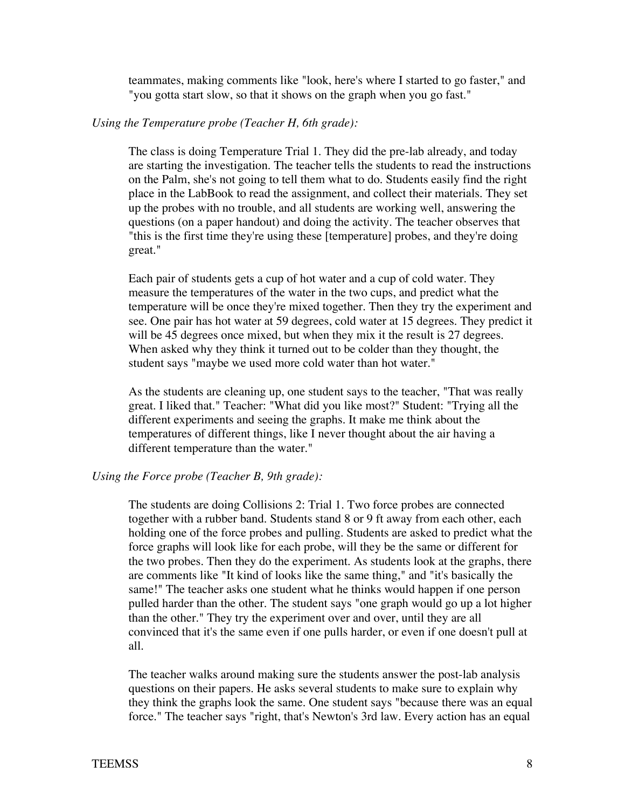teammates, making comments like "look, here's where I started to go faster," and "you gotta start slow, so that it shows on the graph when you go fast."

## *Using the Temperature probe (Teacher H, 6th grade):*

The class is doing Temperature Trial 1. They did the pre-lab already, and today are starting the investigation. The teacher tells the students to read the instructions on the Palm, she's not going to tell them what to do. Students easily find the right place in the LabBook to read the assignment, and collect their materials. They set up the probes with no trouble, and all students are working well, answering the questions (on a paper handout) and doing the activity. The teacher observes that "this is the first time they're using these [temperature] probes, and they're doing great."

Each pair of students gets a cup of hot water and a cup of cold water. They measure the temperatures of the water in the two cups, and predict what the temperature will be once they're mixed together. Then they try the experiment and see. One pair has hot water at 59 degrees, cold water at 15 degrees. They predict it will be 45 degrees once mixed, but when they mix it the result is 27 degrees. When asked why they think it turned out to be colder than they thought, the student says "maybe we used more cold water than hot water."

As the students are cleaning up, one student says to the teacher, "That was really great. I liked that." Teacher: "What did you like most?" Student: "Trying all the different experiments and seeing the graphs. It make me think about the temperatures of different things, like I never thought about the air having a different temperature than the water."

## *Using the Force probe (Teacher B, 9th grade):*

The students are doing Collisions 2: Trial 1. Two force probes are connected together with a rubber band. Students stand 8 or 9 ft away from each other, each holding one of the force probes and pulling. Students are asked to predict what the force graphs will look like for each probe, will they be the same or different for the two probes. Then they do the experiment. As students look at the graphs, there are comments like "It kind of looks like the same thing," and "it's basically the same!" The teacher asks one student what he thinks would happen if one person pulled harder than the other. The student says "one graph would go up a lot higher than the other." They try the experiment over and over, until they are all convinced that it's the same even if one pulls harder, or even if one doesn't pull at all.

The teacher walks around making sure the students answer the post-lab analysis questions on their papers. He asks several students to make sure to explain why they think the graphs look the same. One student says "because there was an equal force." The teacher says "right, that's Newton's 3rd law. Every action has an equal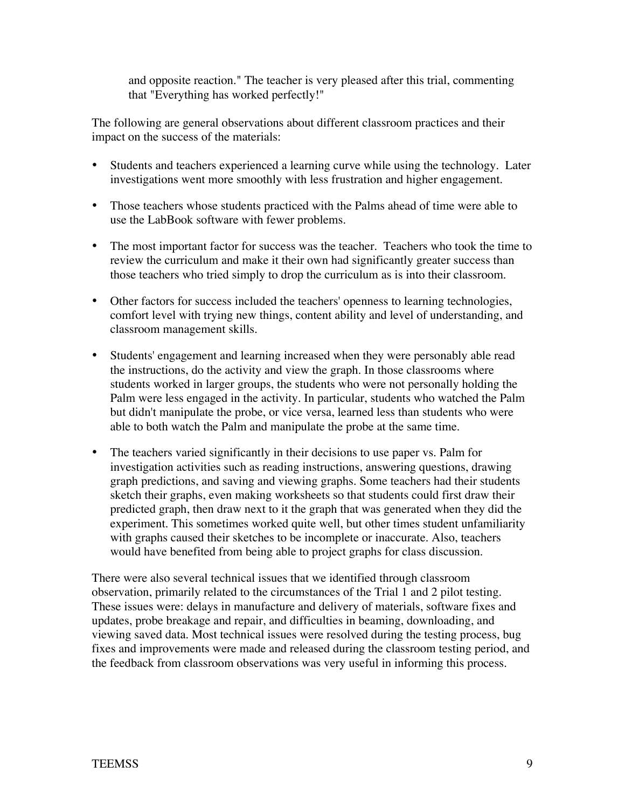and opposite reaction." The teacher is very pleased after this trial, commenting that "Everything has worked perfectly!"

The following are general observations about different classroom practices and their impact on the success of the materials:

Students and teachers experienced a learning curve while using the technology. Later investigations went more smoothly with less frustration and higher engagement.

Those teachers whose students practiced with the Palms ahead of time were able to use the LabBook software with fewer problems.

The most important factor for success was the teacher. Teachers who took the time to review the curriculum and make it their own had significantly greater success than those teachers who tried simply to drop the curriculum as is into their classroom.

Other factors for success included the teachers' openness to learning technologies, comfort level with trying new things, content ability and level of understanding, and classroom management skills.

Students' engagement and learning increased when they were personably able read the instructions, do the activity and view the graph. In those classrooms where students worked in larger groups, the students who were not personally holding the Palm were less engaged in the activity. In particular, students who watched the Palm but didn't manipulate the probe, or vice versa, learned less than students who were able to both watch the Palm and manipulate the probe at the same time.

The teachers varied significantly in their decisions to use paper vs. Palm for investigation activities such as reading instructions, answering questions, drawing graph predictions, and saving and viewing graphs. Some teachers had their students sketch their graphs, even making worksheets so that students could first draw their predicted graph, then draw next to it the graph that was generated when they did the experiment. This sometimes worked quite well, but other times student unfamiliarity with graphs caused their sketches to be incomplete or inaccurate. Also, teachers would have benefited from being able to project graphs for class discussion.

There were also several technical issues that we identified through classroom observation, primarily related to the circumstances of the Trial 1 and 2 pilot testing. These issues were: delays in manufacture and delivery of materials, software fixes and updates, probe breakage and repair, and difficulties in beaming, downloading, and viewing saved data. Most technical issues were resolved during the testing process, bug fixes and improvements were made and released during the classroom testing period, and the feedback from classroom observations was very useful in informing this process.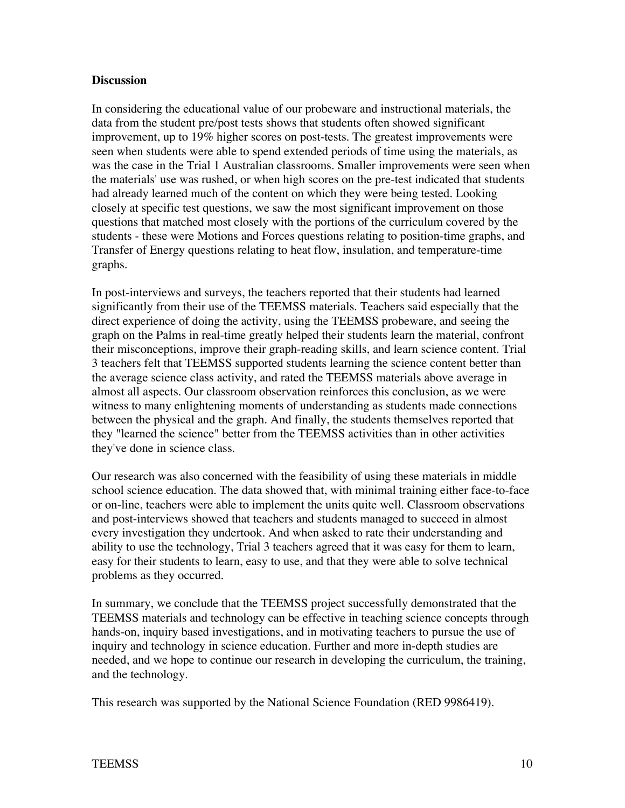#### **Discussion**

In considering the educational value of our probeware and instructional materials, the data from the student pre/post tests shows that students often showed significant improvement, up to 19% higher scores on post-tests. The greatest improvements were seen when students were able to spend extended periods of time using the materials, as was the case in the Trial 1 Australian classrooms. Smaller improvements were seen when the materials' use was rushed, or when high scores on the pre-test indicated that students had already learned much of the content on which they were being tested. Looking closely at specific test questions, we saw the most significant improvement on those questions that matched most closely with the portions of the curriculum covered by the students - these were Motions and Forces questions relating to position-time graphs, and Transfer of Energy questions relating to heat flow, insulation, and temperature-time graphs.

In post-interviews and surveys, the teachers reported that their students had learned significantly from their use of the TEEMSS materials. Teachers said especially that the direct experience of doing the activity, using the TEEMSS probeware, and seeing the graph on the Palms in real-time greatly helped their students learn the material, confront their misconceptions, improve their graph-reading skills, and learn science content. Trial 3 teachers felt that TEEMSS supported students learning the science content better than the average science class activity, and rated the TEEMSS materials above average in almost all aspects. Our classroom observation reinforces this conclusion, as we were witness to many enlightening moments of understanding as students made connections between the physical and the graph. And finally, the students themselves reported that they "learned the science" better from the TEEMSS activities than in other activities they've done in science class.

Our research was also concerned with the feasibility of using these materials in middle school science education. The data showed that, with minimal training either face-to-face or on-line, teachers were able to implement the units quite well. Classroom observations and post-interviews showed that teachers and students managed to succeed in almost every investigation they undertook. And when asked to rate their understanding and ability to use the technology, Trial 3 teachers agreed that it was easy for them to learn, easy for their students to learn, easy to use, and that they were able to solve technical problems as they occurred.

In summary, we conclude that the TEEMSS project successfully demonstrated that the TEEMSS materials and technology can be effective in teaching science concepts through hands-on, inquiry based investigations, and in motivating teachers to pursue the use of inquiry and technology in science education. Further and more in-depth studies are needed, and we hope to continue our research in developing the curriculum, the training, and the technology.

This research was supported by the National Science Foundation (RED 9986419).